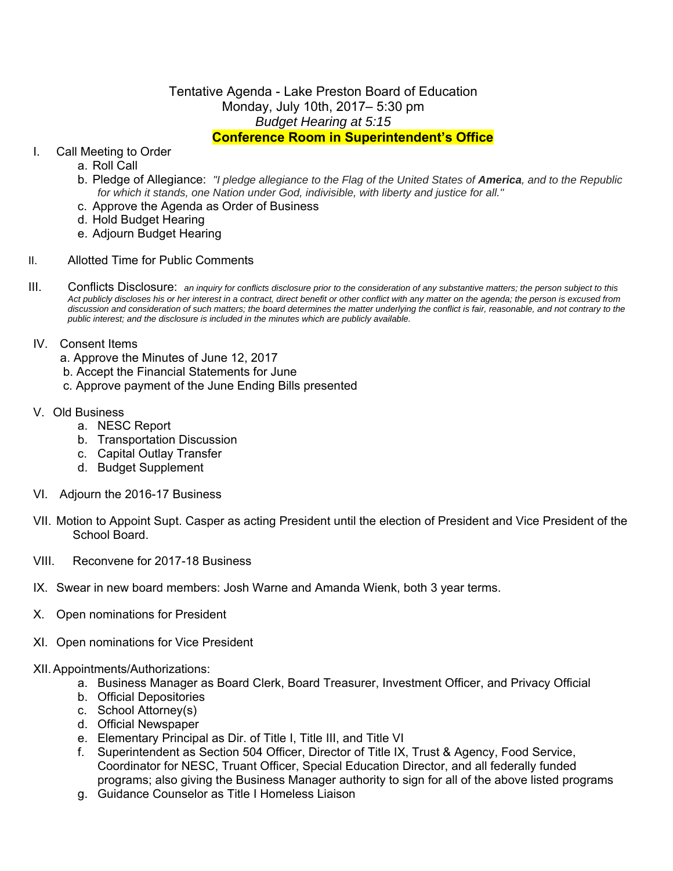# Tentative Agenda - Lake Preston Board of Education Monday, July 10th, 2017– 5:30 pm *Budget Hearing at 5:15* **Conference Room in Superintendent's Office**

# I. Call Meeting to Order

- a. Roll Call
- b. Pledge of Allegiance: *"I pledge allegiance to the Flag of the United States of America, and to the Republic for which it stands, one Nation under God, indivisible, with liberty and justice for all."*
- c. Approve the Agenda as Order of Business
- d. Hold Budget Hearing
- e. Adjourn Budget Hearing
- II. Allotted Time for Public Comments
- III. Conflicts Disclosure: *an inquiry for conflicts disclosure prior to the consideration of any substantive matters; the person subject to this Act publicly discloses his or her interest in a contract, direct benefit or other conflict with any matter on the agenda; the person is excused from*  discussion and consideration of such matters; the board determines the matter underlying the conflict is fair, reasonable, and not contrary to the *public interest; and the disclosure is included in the minutes which are publicly available.*

## IV. Consent Items

- a. Approve the Minutes of June 12, 2017
- b. Accept the Financial Statements for June
- c. Approve payment of the June Ending Bills presented

### V. Old Business

- a. NESC Report
- b. Transportation Discussion
- c. Capital Outlay Transfer
- d. Budget Supplement
- VI. Adjourn the 2016-17 Business
- VII. Motion to Appoint Supt. Casper as acting President until the election of President and Vice President of the School Board.
- VIII. Reconvene for 2017-18 Business
- IX. Swear in new board members: Josh Warne and Amanda Wienk, both 3 year terms.
- X. Open nominations for President
- XI. Open nominations for Vice President

#### XII. Appointments/Authorizations:

- a. Business Manager as Board Clerk, Board Treasurer, Investment Officer, and Privacy Official
- b. Official Depositories
- c. School Attorney(s)
- d. Official Newspaper
- e. Elementary Principal as Dir. of Title I, Title III, and Title VI
- f. Superintendent as Section 504 Officer, Director of Title IX, Trust & Agency, Food Service, Coordinator for NESC, Truant Officer, Special Education Director, and all federally funded programs; also giving the Business Manager authority to sign for all of the above listed programs
- g. Guidance Counselor as Title I Homeless Liaison